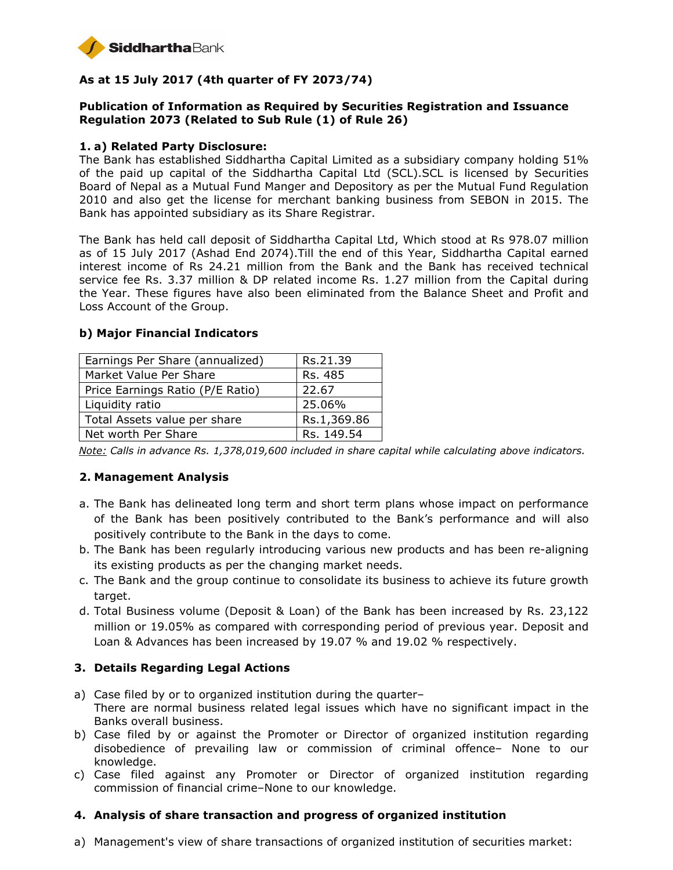

# **As at 15 July 2017 (4th quarter of FY 2073/74)**

### **Publication of Information as Required by Securities Registration and Issuance Regulation 2073 (Related to Sub Rule (1) of Rule 26)**

#### **1. a) Related Party Disclosure:**

The Bank has established Siddhartha Capital Limited as a subsidiary company holding 51% of the paid up capital of the Siddhartha Capital Ltd (SCL).SCL is licensed by Securities Board of Nepal as a Mutual Fund Manger and Depository as per the Mutual Fund Regulation 2010 and also get the license for merchant banking business from SEBON in 2015. The Bank has appointed subsidiary as its Share Registrar.

The Bank has held call deposit of Siddhartha Capital Ltd, Which stood at Rs 978.07 million as of 15 July 2017 (Ashad End 2074).Till the end of this Year, Siddhartha Capital earned interest income of Rs 24.21 million from the Bank and the Bank has received technical service fee Rs. 3.37 million & DP related income Rs. 1.27 million from the Capital during the Year. These figures have also been eliminated from the Balance Sheet and Profit and Loss Account of the Group.

| Earnings Per Share (annualized)  | Rs.21.39    |
|----------------------------------|-------------|
| Market Value Per Share           | Rs. 485     |
| Price Earnings Ratio (P/E Ratio) | 22.67       |
| Liquidity ratio                  | 25.06%      |
| Total Assets value per share     | Rs.1,369.86 |
| Net worth Per Share              | Rs. 149.54  |

#### **b) Major Financial Indicators**

*Note: Calls in advance Rs. 1,378,019,600 included in share capital while calculating above indicators.* 

## **2. Management Analysis**

- a. The Bank has delineated long term and short term plans whose impact on performance of the Bank has been positively contributed to the Bank's performance and will also positively contribute to the Bank in the days to come.
- b. The Bank has been regularly introducing various new products and has been re-aligning its existing products as per the changing market needs.
- c. The Bank and the group continue to consolidate its business to achieve its future growth target.
- d. Total Business volume (Deposit & Loan) of the Bank has been increased by Rs. 23,122 million or 19.05% as compared with corresponding period of previous year. Deposit and Loan & Advances has been increased by 19.07 % and 19.02 % respectively.

## **3. Details Regarding Legal Actions**

- a) Case filed by or to organized institution during the quarter– There are normal business related legal issues which have no significant impact in the Banks overall business.
- b) Case filed by or against the Promoter or Director of organized institution regarding disobedience of prevailing law or commission of criminal offence– None to our knowledge.
- c) Case filed against any Promoter or Director of organized institution regarding commission of financial crime–None to our knowledge.

## **4. Analysis of share transaction and progress of organized institution**

a) Management's view of share transactions of organized institution of securities market: